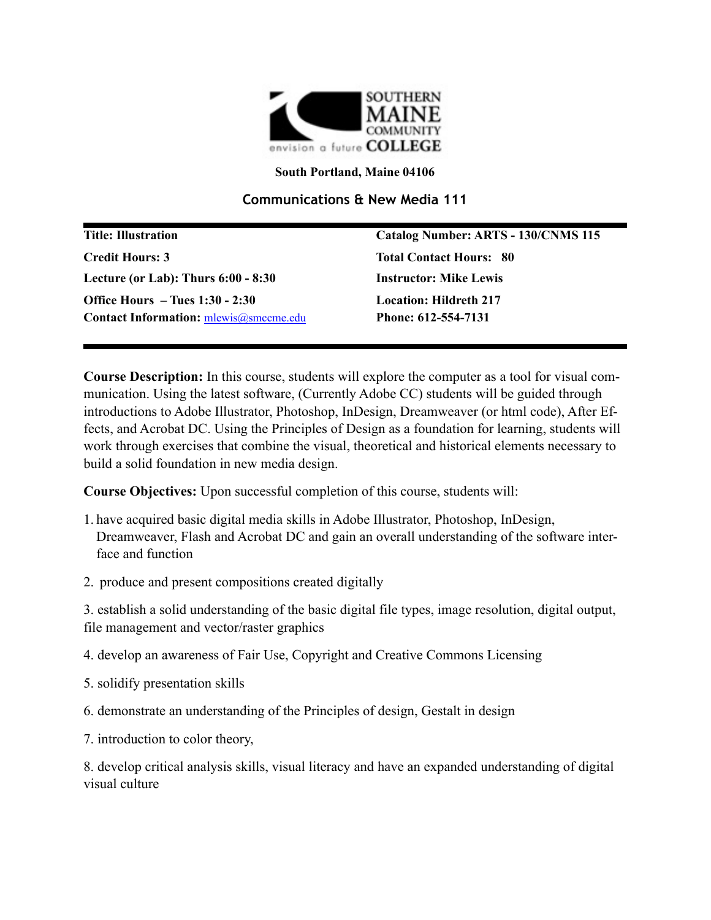

**South Portland, Maine 04106**

## **Communications & New Media 111**

| <b>Title: Illustration</b>                    | Catalog Number: ARTS - 130/CNMS 115 |
|-----------------------------------------------|-------------------------------------|
| <b>Credit Hours: 3</b>                        | <b>Total Contact Hours: 80</b>      |
| Lecture (or Lab): Thurs $6:00 - 8:30$         | <b>Instructor: Mike Lewis</b>       |
| Office Hours $-$ Tues 1:30 - 2:30             | <b>Location: Hildreth 217</b>       |
| <b>Contact Information:</b> mlewis@smccme.edu | Phone: 612-554-7131                 |

**Course Description:** In this course, students will explore the computer as a tool for visual communication. Using the latest software, (Currently Adobe CC) students will be guided through introductions to Adobe Illustrator, Photoshop, InDesign, Dreamweaver (or html code), After Effects, and Acrobat DC. Using the Principles of Design as a foundation for learning, students will work through exercises that combine the visual, theoretical and historical elements necessary to build a solid foundation in new media design.

**Course Objectives:** Upon successful completion of this course, students will:

- 1. have acquired basic digital media skills in Adobe Illustrator, Photoshop, InDesign, Dreamweaver, Flash and Acrobat DC and gain an overall understanding of the software interface and function
- 2. produce and present compositions created digitally

3. establish a solid understanding of the basic digital file types, image resolution, digital output, file management and vector/raster graphics

- 4. develop an awareness of Fair Use, Copyright and Creative Commons Licensing
- 5. solidify presentation skills
- 6. demonstrate an understanding of the Principles of design, Gestalt in design
- 7. introduction to color theory,

8. develop critical analysis skills, visual literacy and have an expanded understanding of digital visual culture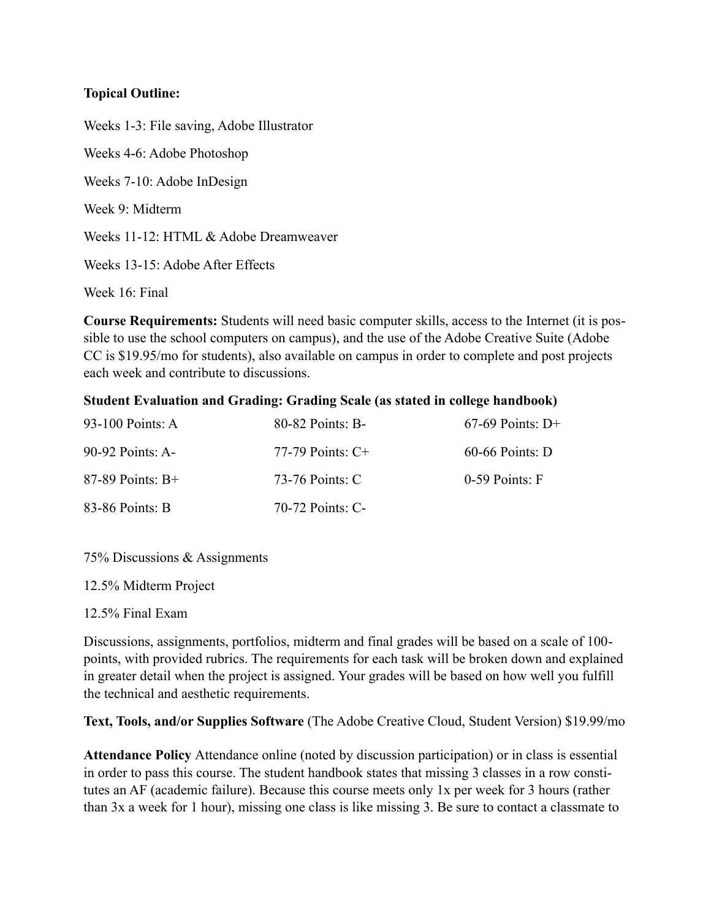## **Topical Outline:**

Weeks 1-3: File saving, Adobe Illustrator Weeks 4-6: Adobe Photoshop Weeks 7-10: Adobe InDesign Week 9: Midterm Weeks 11-12: HTML & Adobe Dreamweaver Weeks 13-15: Adobe After Effects Week 16: Final

**Course Requirements:** Students will need basic computer skills, access to the Internet (it is possible to use the school computers on campus), and the use of the Adobe Creative Suite (Adobe CC is \$19.95/mo for students), also available on campus in order to complete and post projects each week and contribute to discussions.

## **Student Evaluation and Grading: Grading Scale (as stated in college handbook)**

| 93-100 Points: A   | 80-82 Points: B-    | $67-69$ Points: D+ |
|--------------------|---------------------|--------------------|
| 90-92 Points: A-   | 77-79 Points: $C^+$ | $60-66$ Points: D  |
| $87-89$ Points: B+ | 73-76 Points: C     | $0-59$ Points: F   |
| 83-86 Points: B    | 70-72 Points: C-    |                    |

75% Discussions & Assignments

12.5% Midterm Project

12.5% Final Exam

Discussions, assignments, portfolios, midterm and final grades will be based on a scale of 100 points, with provided rubrics. The requirements for each task will be broken down and explained in greater detail when the project is assigned. Your grades will be based on how well you fulfill the technical and aesthetic requirements.

**Text, Tools, and/or Supplies Software** (The Adobe Creative Cloud, Student Version) \$19.99/mo

**Attendance Policy** Attendance online (noted by discussion participation) or in class is essential in order to pass this course. The student handbook states that missing 3 classes in a row constitutes an AF (academic failure). Because this course meets only 1x per week for 3 hours (rather than 3x a week for 1 hour), missing one class is like missing 3. Be sure to contact a classmate to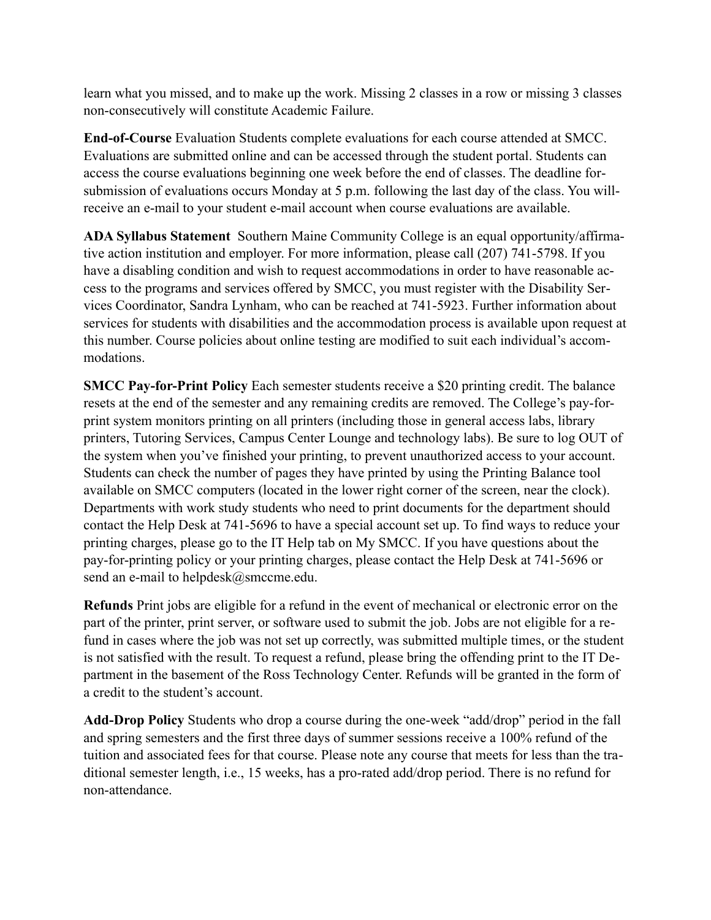learn what you missed, and to make up the work. Missing 2 classes in a row or missing 3 classes non-consecutively will constitute Academic Failure.

**End-of-Course** Evaluation Students complete evaluations for each course attended at SMCC. Evaluations are submitted online and can be accessed through the student portal. Students can access the course evaluations beginning one week before the end of classes. The deadline forsubmission of evaluations occurs Monday at 5 p.m. following the last day of the class. You willreceive an e-mail to your student e-mail account when course evaluations are available.

**ADA Syllabus Statement** Southern Maine Community College is an equal opportunity/affirmative action institution and employer. For more information, please call (207) 741-5798. If you have a disabling condition and wish to request accommodations in order to have reasonable access to the programs and services offered by SMCC, you must register with the Disability Services Coordinator, Sandra Lynham, who can be reached at 741-5923. Further information about services for students with disabilities and the accommodation process is available upon request at this number. Course policies about online testing are modified to suit each individual's accommodations.

**SMCC Pay-for-Print Policy** Each semester students receive a \$20 printing credit. The balance resets at the end of the semester and any remaining credits are removed. The College's pay-forprint system monitors printing on all printers (including those in general access labs, library printers, Tutoring Services, Campus Center Lounge and technology labs). Be sure to log OUT of the system when you've finished your printing, to prevent unauthorized access to your account. Students can check the number of pages they have printed by using the Printing Balance tool available on SMCC computers (located in the lower right corner of the screen, near the clock). Departments with work study students who need to print documents for the department should contact the Help Desk at 741-5696 to have a special account set up. To find ways to reduce your printing charges, please go to the IT Help tab on My SMCC. If you have questions about the pay-for-printing policy or your printing charges, please contact the Help Desk at 741-5696 or send an e-mail to helpdesk@smccme.edu.

**Refunds** Print jobs are eligible for a refund in the event of mechanical or electronic error on the part of the printer, print server, or software used to submit the job. Jobs are not eligible for a refund in cases where the job was not set up correctly, was submitted multiple times, or the student is not satisfied with the result. To request a refund, please bring the offending print to the IT Department in the basement of the Ross Technology Center. Refunds will be granted in the form of a credit to the student's account.

**Add-Drop Policy** Students who drop a course during the one-week "add/drop" period in the fall and spring semesters and the first three days of summer sessions receive a 100% refund of the tuition and associated fees for that course. Please note any course that meets for less than the traditional semester length, i.e., 15 weeks, has a pro-rated add/drop period. There is no refund for non-attendance.